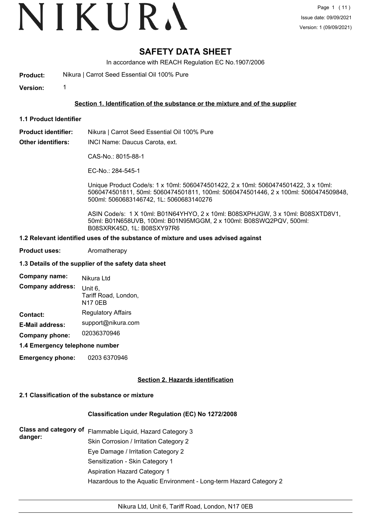# VIKURA

## **SAFETY DATA SHEET**

In accordance with REACH Regulation EC No.1907/2006

**Product:** Nikura | Carrot Seed Essential Oil 100% Pure

**Version:** 1

#### **Section 1. Identification of the substance or the mixture and of the supplier**

**1.1 Product Identifier**

**Product identifier:** Nikura | Carrot Seed Essential Oil 100% Pure

**Other identifiers:** INCI Name: Daucus Carota, ext.

CAS-No.: 8015-88-1

EC-No.: 284-545-1

Unique Product Code/s: 1 x 10ml: 5060474501422, 2 x 10ml: 5060474501422, 3 x 10ml: 5060474501811, 50ml: 5060474501811, 100ml: 5060474501446, 2 x 100ml: 5060474509848, 500ml: 5060683146742, 1L: 5060683140276

ASIN Code/s: 1 X 10ml: B01N64YHYO, 2 x 10ml: B08SXPHJGW, 3 x 10ml: B08SXTD8V1, 50ml: B01N658UVB, 100ml: B01N95MGGM, 2 x 100ml: B08SWQ2PQV, 500ml: B08SXRK45D, 1L: B08SXY97R6

#### **1.2 Relevant identified uses of the substance of mixture and uses advised against**

**Product uses:** Aromatherapy

#### **1.3 Details of the supplier of the safety data sheet**

| Company name:           | Nikura Ltd<br>Unit 6,<br>Tariff Road, London,<br><b>N17 0EB</b> |  |  |
|-------------------------|-----------------------------------------------------------------|--|--|
| <b>Company address:</b> |                                                                 |  |  |
| Contact:                | <b>Regulatory Affairs</b>                                       |  |  |
| <b>E-Mail address:</b>  | support@nikura.com                                              |  |  |
| Company phone:          | 02036370946                                                     |  |  |

**1.4 Emergency telephone number**

**Emergency phone:** 0203 6370946

#### **Section 2. Hazards identification**

#### **2.1 Classification of the substance or mixture**

#### **Classification under Regulation (EC) No 1272/2008**

**Class and category of** Flammable Liquid, Hazard Category 3 **danger:** Skin Corrosion / Irritation Category 2 Eye Damage / Irritation Category 2 Sensitization - Skin Category 1 Aspiration Hazard Category 1 Hazardous to the Aquatic Environment - Long-term Hazard Category 2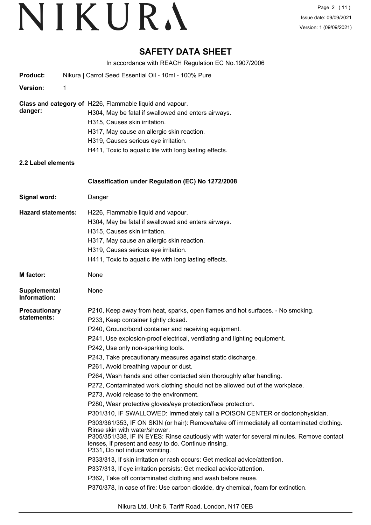## **SAFETY DATA SHEET**

In accordance with REACH Regulation EC No.1907/2006

| <b>Product:</b>                     | Nikura   Carrot Seed Essential Oil - 10ml - 100% Pure                                                                                                                                                                                                                                                                                                                                                                                                                                                                                                                                                                                                                                                                                                                                                                                                                                                                                                                                                                                                                                                                                                                                                                                                                                                                                                                                       |
|-------------------------------------|---------------------------------------------------------------------------------------------------------------------------------------------------------------------------------------------------------------------------------------------------------------------------------------------------------------------------------------------------------------------------------------------------------------------------------------------------------------------------------------------------------------------------------------------------------------------------------------------------------------------------------------------------------------------------------------------------------------------------------------------------------------------------------------------------------------------------------------------------------------------------------------------------------------------------------------------------------------------------------------------------------------------------------------------------------------------------------------------------------------------------------------------------------------------------------------------------------------------------------------------------------------------------------------------------------------------------------------------------------------------------------------------|
| <b>Version:</b><br>1                |                                                                                                                                                                                                                                                                                                                                                                                                                                                                                                                                                                                                                                                                                                                                                                                                                                                                                                                                                                                                                                                                                                                                                                                                                                                                                                                                                                                             |
| danger:                             | Class and category of H226, Flammable liquid and vapour.<br>H304, May be fatal if swallowed and enters airways.<br>H315, Causes skin irritation.<br>H317, May cause an allergic skin reaction.<br>H319, Causes serious eye irritation.<br>H411, Toxic to aquatic life with long lasting effects.                                                                                                                                                                                                                                                                                                                                                                                                                                                                                                                                                                                                                                                                                                                                                                                                                                                                                                                                                                                                                                                                                            |
| 2.2 Label elements                  |                                                                                                                                                                                                                                                                                                                                                                                                                                                                                                                                                                                                                                                                                                                                                                                                                                                                                                                                                                                                                                                                                                                                                                                                                                                                                                                                                                                             |
|                                     | Classification under Regulation (EC) No 1272/2008                                                                                                                                                                                                                                                                                                                                                                                                                                                                                                                                                                                                                                                                                                                                                                                                                                                                                                                                                                                                                                                                                                                                                                                                                                                                                                                                           |
| Signal word:                        | Danger                                                                                                                                                                                                                                                                                                                                                                                                                                                                                                                                                                                                                                                                                                                                                                                                                                                                                                                                                                                                                                                                                                                                                                                                                                                                                                                                                                                      |
| <b>Hazard statements:</b>           | H226, Flammable liquid and vapour.<br>H304, May be fatal if swallowed and enters airways.<br>H315, Causes skin irritation.<br>H317, May cause an allergic skin reaction.<br>H319, Causes serious eye irritation.<br>H411, Toxic to aquatic life with long lasting effects.                                                                                                                                                                                                                                                                                                                                                                                                                                                                                                                                                                                                                                                                                                                                                                                                                                                                                                                                                                                                                                                                                                                  |
| <b>M</b> factor:                    | None                                                                                                                                                                                                                                                                                                                                                                                                                                                                                                                                                                                                                                                                                                                                                                                                                                                                                                                                                                                                                                                                                                                                                                                                                                                                                                                                                                                        |
| <b>Supplemental</b><br>Information: | None                                                                                                                                                                                                                                                                                                                                                                                                                                                                                                                                                                                                                                                                                                                                                                                                                                                                                                                                                                                                                                                                                                                                                                                                                                                                                                                                                                                        |
| <b>Precautionary</b><br>statements: | P210, Keep away from heat, sparks, open flames and hot surfaces. - No smoking.<br>P233, Keep container tightly closed.<br>P240, Ground/bond container and receiving equipment.<br>P241, Use explosion-proof electrical, ventilating and lighting equipment.<br>P242, Use only non-sparking tools.<br>P243, Take precautionary measures against static discharge.<br>P261, Avoid breathing vapour or dust.<br>P264, Wash hands and other contacted skin thoroughly after handling.<br>P272, Contaminated work clothing should not be allowed out of the workplace.<br>P273, Avoid release to the environment.<br>P280, Wear protective gloves/eye protection/face protection.<br>P301/310, IF SWALLOWED: Immediately call a POISON CENTER or doctor/physician.<br>P303/361/353, IF ON SKIN (or hair): Remove/take off immediately all contaminated clothing.<br>Rinse skin with water/shower.<br>P305/351/338, IF IN EYES: Rinse cautiously with water for several minutes. Remove contact<br>lenses, if present and easy to do. Continue rinsing.<br>P331, Do not induce vomiting.<br>P333/313, If skin irritation or rash occurs: Get medical advice/attention.<br>P337/313, If eye irritation persists: Get medical advice/attention.<br>P362, Take off contaminated clothing and wash before reuse.<br>P370/378, In case of fire: Use carbon dioxide, dry chemical, foam for extinction. |
|                                     |                                                                                                                                                                                                                                                                                                                                                                                                                                                                                                                                                                                                                                                                                                                                                                                                                                                                                                                                                                                                                                                                                                                                                                                                                                                                                                                                                                                             |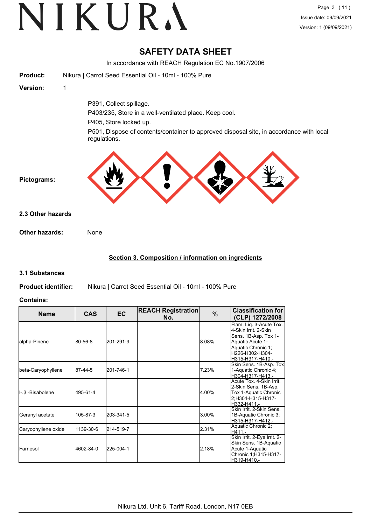## **SAFETY DATA SHEET**

In accordance with REACH Regulation EC No.1907/2006

| <b>Product:</b>   | Nikura   Carrot Seed Essential Oil - 10ml - 100% Pure                                                   |
|-------------------|---------------------------------------------------------------------------------------------------------|
| <b>Version:</b>   | 1                                                                                                       |
|                   | P391, Collect spillage.                                                                                 |
|                   | P403/235, Store in a well-ventilated place. Keep cool.                                                  |
|                   | P405, Store locked up.                                                                                  |
|                   | P501, Dispose of contents/container to approved disposal site, in accordance with local<br>regulations. |
| Pictograms:       |                                                                                                         |
| 2.3 Other hazards |                                                                                                         |
| Other hazards:    | None                                                                                                    |

#### **Section 3. Composition / information on ingredients**

#### **3.1 Substances**

**Product identifier:** Nikura | Carrot Seed Essential Oil - 10ml - 100% Pure

#### **Contains:**

| <b>Name</b>         | <b>CAS</b> | <b>EC</b> | <b>REACH Registration</b><br>No. | $\%$  | <b>Classification for</b><br>(CLP) 1272/2008                                                                                                             |  |
|---------------------|------------|-----------|----------------------------------|-------|----------------------------------------------------------------------------------------------------------------------------------------------------------|--|
| alpha-Pinene        | 80-56-8    | 201-291-9 |                                  | 8.08% | Flam. Lig. 3-Acute Tox.<br>4-Skin Irrit, 2-Skin<br>Sens. 1B-Asp. Tox 1-<br>Aquatic Acute 1-<br>Aquatic Chronic 1:<br>H226-H302-H304-<br>H315-H317-H410.- |  |
| beta-Caryophyllene  | 87-44-5    | 201-746-1 |                                  | 7.23% | Skin Sens. 1B-Asp. Tox<br>1-Aquatic Chronic 4;<br>H304-H317-H413.-                                                                                       |  |
| II-.β.-Bisabolene   | 495-61-4   |           |                                  | 4.00% | Acute Tox. 4-Skin Irrit.<br>2-Skin Sens. 1B-Asp.<br>Tox 1-Aquatic Chronic<br>2;H304-H315-H317-<br>H332-H411.-                                            |  |
| Geranyl acetate     | 105-87-3   | 203-341-5 |                                  | 3.00% | Skin Irrit, 2-Skin Sens.<br>1B-Aquatic Chronic 3;<br>H315-H317-H412.-                                                                                    |  |
| Caryophyllene oxide | 1139-30-6  | 214-519-7 |                                  | 2.31% | Aquatic Chronic 2;<br>H411.-                                                                                                                             |  |
| <b>IFarnesol</b>    | 4602-84-0  | 225-004-1 |                                  | 2.18% | Skin Irrit. 2-Eye Irrit. 2-<br>Skin Sens. 1B-Aquatic<br>Acute 1-Aquatic<br>Chronic 1;H315-H317-<br>H319-H410,-                                           |  |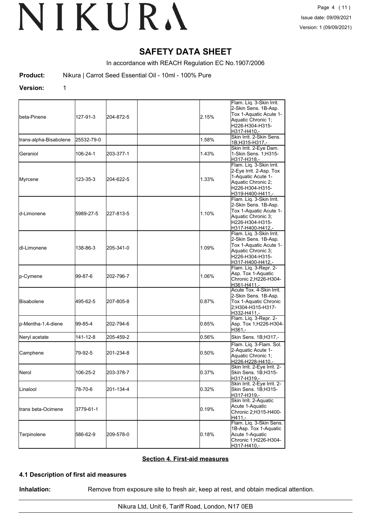## **SAFETY DATA SHEET**

In accordance with REACH Regulation EC No.1907/2006

**Product:** Nikura | Carrot Seed Essential Oil - 10ml - 100% Pure

#### **Version:** 1

| lbeta-Pinene           | 127-91-3   | 204-872-5 | 2.15% | Flam. Liq. 3-Skin Irrit.<br>2-Skin Sens. 1B-Asp.<br>Tox 1-Aquatic Acute 1-<br>Aquatic Chronic 1;<br>H226-H304-H315-<br>H317-H410.-      |
|------------------------|------------|-----------|-------|-----------------------------------------------------------------------------------------------------------------------------------------|
| trans-alpha-Bisabolene | 25532-79-0 |           | 1.58% | Skin Irrit. 2-Skin Sens.<br>1B;H315-H317.-                                                                                              |
| Geraniol               | 106-24-1   | 203-377-1 | 1.43% | Skin Irrit. 2-Eye Dam.<br>1-Skin Sens. 1; H315-<br>H317-H318,-                                                                          |
| Myrcene                | 123-35-3   | 204-622-5 | 1.33% | Flam. Liq. 3-Skin Irrit.<br>2-Eye Irrit. 2-Asp. Tox<br>1-Aquatic Acute 1-<br>Aquatic Chronic 2;<br>H226-H304-H315-<br>H319-H400-H411,-  |
| ld-Limonene            | 5989-27-5  | 227-813-5 | 1.10% | Flam. Liq. 3-Skin Irrit.<br>2-Skin Sens. 1B-Asp.<br>Tox 1-Aquatic Acute 1-<br>Aquatic Chronic 3;<br>H226-H304-H315-<br>H317-H400-H412.- |
| ldl-Limonene           | 138-86-3   | 205-341-0 | 1.09% | Flam. Liq. 3-Skin Irrit.<br>2-Skin Sens. 1B-Asp.<br>Tox 1-Aquatic Acute 1-<br>Aquatic Chronic 3;<br>H226-H304-H315-<br>H317-H400-H412,- |
| p-Cymene               | 99-87-6    | 202-796-7 | 1.06% | Flam. Liq. 3-Repr. 2-<br>Asp. Tox 1-Aquatic<br>Chronic 2;H226-H304-<br>H361-H411.-                                                      |
| <b>Bisabolene</b>      | 495-62-5   | 207-805-8 | 0.87% | Acute Tox. 4-Skin Irrit.<br>2-Skin Sens. 1B-Asp.<br>Tox 1-Aquatic Chronic<br>2;H304-H315-H317-<br>H332-H411.-                           |
| p-Mentha-1,4-diene     | 99-85-4    | 202-794-6 | 0.65% | Flam. Liq. 3-Repr. 2-<br>Asp. Tox 1;H226-H304-<br>H361,-                                                                                |
| Neryl acetate          | 141-12-8   | 205-459-2 | 0.56% | Skin Sens. 1B;H317,-                                                                                                                    |
| Camphene               | 79-92-5    | 201-234-8 | 0.50% | Flam. Liq. 3-Flam. Sol.<br>2-Aquatic Acute 1-<br>Aquatic Chronic 1;<br>H226-H228-H410,-                                                 |
| Nerol                  | 106-25-2   | 203-378-7 | 0.37% | Skin Irrit. 2-Eye Irrit. 2-<br>Skin Sens. 1B;H315-<br>H317-H319,-                                                                       |
| Linalool               | 78-70-6    | 201-134-4 | 0.32% | Skin Irrit. 2-Eye Irrit. 2-<br>Skin Sens. 1B;H315-<br>H317-H319,-                                                                       |
| trans beta-Ocimene     | 3779-61-1  |           | 0.19% | Skin Irrit. 2-Aquatic<br>Acute 1-Aquatic<br>Chronic 2; H315-H400-<br>H <sub>411</sub> .                                                 |
| Terpinolene            | 586-62-9   | 209-578-0 | 0.18% | Flam. Liq. 3-Skin Sens.<br>1B-Asp. Tox 1-Aquatic<br>Acute 1-Aquatic<br>Chronic 1;H226-H304-<br>H317-H410.-                              |

#### **Section 4. First-aid measures**

#### **4.1 Description of first aid measures**

**Inhalation:** Remove from exposure site to fresh air, keep at rest, and obtain medical attention.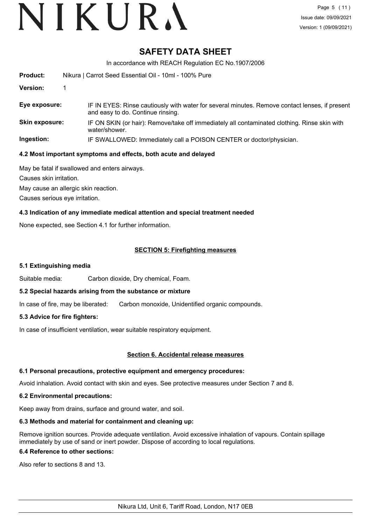## **SAFETY DATA SHEET**

In accordance with REACH Regulation EC No.1907/2006

| <b>Product:</b>       | Nikura   Carrot Seed Essential Oil - 10ml - 100% Pure                                                                               |  |  |  |  |
|-----------------------|-------------------------------------------------------------------------------------------------------------------------------------|--|--|--|--|
| <b>Version:</b>       |                                                                                                                                     |  |  |  |  |
| Eye exposure:         | IF IN EYES: Rinse cautiously with water for several minutes. Remove contact lenses, if present<br>and easy to do. Continue rinsing. |  |  |  |  |
| <b>Skin exposure:</b> | IF ON SKIN (or hair): Remove/take off immediately all contaminated clothing. Rinse skin with<br>water/shower.                       |  |  |  |  |
| Ingestion:            | IF SWALLOWED: Immediately call a POISON CENTER or doctor/physician.                                                                 |  |  |  |  |

#### **4.2 Most important symptoms and effects, both acute and delayed**

May be fatal if swallowed and enters airways.

Causes skin irritation.

May cause an allergic skin reaction.

Causes serious eye irritation.

#### **4.3 Indication of any immediate medical attention and special treatment needed**

None expected, see Section 4.1 for further information.

#### **SECTION 5: Firefighting measures**

#### **5.1 Extinguishing media**

Suitable media: Carbon dioxide, Dry chemical, Foam.

#### **5.2 Special hazards arising from the substance or mixture**

In case of fire, may be liberated: Carbon monoxide, Unidentified organic compounds.

#### **5.3 Advice for fire fighters:**

In case of insufficient ventilation, wear suitable respiratory equipment.

#### **Section 6. Accidental release measures**

#### **6.1 Personal precautions, protective equipment and emergency procedures:**

Avoid inhalation. Avoid contact with skin and eyes. See protective measures under Section 7 and 8.

#### **6.2 Environmental precautions:**

Keep away from drains, surface and ground water, and soil.

### **6.3 Methods and material for containment and cleaning up:**

Remove ignition sources. Provide adequate ventilation. Avoid excessive inhalation of vapours. Contain spillage immediately by use of sand or inert powder. Dispose of according to local regulations.

### **6.4 Reference to other sections:**

Also refer to sections 8 and 13.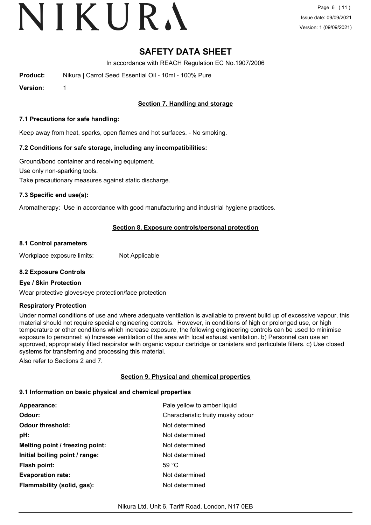# VIKURA

## **SAFETY DATA SHEET**

In accordance with REACH Regulation EC No.1907/2006

**Product:** Nikura | Carrot Seed Essential Oil - 10ml - 100% Pure

**Version:** 1

### **Section 7. Handling and storage**

#### **7.1 Precautions for safe handling:**

Keep away from heat, sparks, open flames and hot surfaces. - No smoking.

#### **7.2 Conditions for safe storage, including any incompatibilities:**

Ground/bond container and receiving equipment. Use only non-sparking tools. Take precautionary measures against static discharge.

#### **7.3 Specific end use(s):**

Aromatherapy: Use in accordance with good manufacturing and industrial hygiene practices.

#### **Section 8. Exposure controls/personal protection**

#### **8.1 Control parameters**

Workplace exposure limits: Not Applicable

#### **8.2 Exposure Controls**

#### **Eye / Skin Protection**

Wear protective gloves/eye protection/face protection

#### **Respiratory Protection**

Under normal conditions of use and where adequate ventilation is available to prevent build up of excessive vapour, this material should not require special engineering controls. However, in conditions of high or prolonged use, or high temperature or other conditions which increase exposure, the following engineering controls can be used to minimise exposure to personnel: a) Increase ventilation of the area with local exhaust ventilation. b) Personnel can use an approved, appropriately fitted respirator with organic vapour cartridge or canisters and particulate filters. c) Use closed systems for transferring and processing this material.

Also refer to Sections 2 and 7.

#### **Section 9. Physical and chemical properties**

#### **9.1 Information on basic physical and chemical properties**

| Pale yellow to amber liquid<br>Appearance: |                                   |  |
|--------------------------------------------|-----------------------------------|--|
| Odour:                                     | Characteristic fruity musky odour |  |
| <b>Odour threshold:</b>                    | Not determined                    |  |
| pH:                                        | Not determined                    |  |
| Melting point / freezing point:            | Not determined                    |  |
| Initial boiling point / range:             | Not determined                    |  |
| Flash point:                               | 59 $^{\circ}$ C                   |  |
| <b>Evaporation rate:</b>                   | Not determined                    |  |
| Flammability (solid, gas):                 | Not determined                    |  |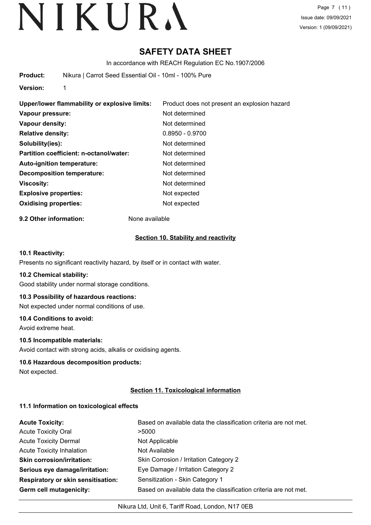## **SAFETY DATA SHEET**

In accordance with REACH Regulation EC No.1907/2006

**Product:** Nikura | Carrot Seed Essential Oil - 10ml - 100% Pure

**Version:** 1

| Upper/lower flammability or explosive limits: | Product does not present an explosion hazard |  |  |  |
|-----------------------------------------------|----------------------------------------------|--|--|--|
| Vapour pressure:                              | Not determined                               |  |  |  |
| Vapour density:                               | Not determined                               |  |  |  |
| <b>Relative density:</b>                      | $0.8950 - 0.9700$                            |  |  |  |
| Solubility(ies):                              | Not determined                               |  |  |  |
| Partition coefficient: n-octanol/water:       | Not determined                               |  |  |  |
| <b>Auto-ignition temperature:</b>             | Not determined                               |  |  |  |
| <b>Decomposition temperature:</b>             | Not determined                               |  |  |  |
| <b>Viscosity:</b>                             | Not determined                               |  |  |  |
| <b>Explosive properties:</b>                  | Not expected                                 |  |  |  |
| <b>Oxidising properties:</b>                  | Not expected                                 |  |  |  |

**9.2 Other information:** None available

#### **Section 10. Stability and reactivity**

#### **10.1 Reactivity:**

Presents no significant reactivity hazard, by itself or in contact with water.

#### **10.2 Chemical stability:**

Good stability under normal storage conditions.

#### **10.3 Possibility of hazardous reactions:**

Not expected under normal conditions of use.

#### **10.4 Conditions to avoid:**

Avoid extreme heat.

#### **10.5 Incompatible materials:**

Avoid contact with strong acids, alkalis or oxidising agents.

#### **10.6 Hazardous decomposition products:**

Not expected.

### **Section 11. Toxicological information**

#### **11.1 Information on toxicological effects**

| <b>Acute Toxicity:</b>                    | Based on available data the classification criteria are not met. |
|-------------------------------------------|------------------------------------------------------------------|
| <b>Acute Toxicity Oral</b>                | >5000                                                            |
| <b>Acute Toxicity Dermal</b>              | Not Applicable                                                   |
| <b>Acute Toxicity Inhalation</b>          | Not Available                                                    |
| <b>Skin corrosion/irritation:</b>         | Skin Corrosion / Irritation Category 2                           |
| Serious eye damage/irritation:            | Eye Damage / Irritation Category 2                               |
| <b>Respiratory or skin sensitisation:</b> | Sensitization - Skin Category 1                                  |
| Germ cell mutagenicity:                   | Based on available data the classification criteria are not met. |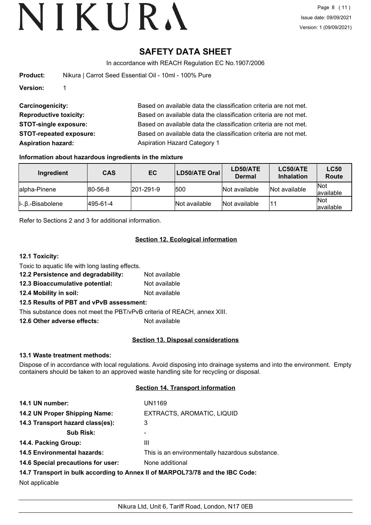## **SAFETY DATA SHEET**

In accordance with REACH Regulation EC No.1907/2006

| <b>Product:</b> | Nikura   Carrot Seed Essential Oil - 10ml - 100% Pure |
|-----------------|-------------------------------------------------------|
| Version:        |                                                       |

| <b>Carcinogenicity:</b>        | Based on available data the classification criteria are not met. |
|--------------------------------|------------------------------------------------------------------|
| <b>Reproductive toxicity:</b>  | Based on available data the classification criteria are not met. |
| <b>STOT-single exposure:</b>   | Based on available data the classification criteria are not met. |
| <b>STOT-repeated exposure:</b> | Based on available data the classification criteria are not met. |
| <b>Aspiration hazard:</b>      | <b>Aspiration Hazard Category 1</b>                              |

#### **Information about hazardous ingredients in the mixture**

| Ingredient                   | <b>CAS</b> | EC                | <b>LD50/ATE Oral</b> | LD50/ATE<br><b>Dermal</b> | LC50/ATE<br><b>Inhalation</b> | <b>LC50</b><br><b>Route</b> |
|------------------------------|------------|-------------------|----------------------|---------------------------|-------------------------------|-----------------------------|
| lalpha-Pinene                | 80-56-8    | $ 201 - 291 - 9 $ | 500                  | Not available             | Not available                 | <b>Not</b><br>lavailable    |
| $\ $ -. $\beta$ .-Bisabolene | 495-61-4   |                   | Not available        | Not available             |                               | <b>Not</b><br>lavailable    |

Refer to Sections 2 and 3 for additional information.

### **Section 12. Ecological information**

### **12.1 Toxicity:**

Toxic to aquatic life with long lasting effects.

**12.2 Persistence and degradability:** Not available **12.3 Bioaccumulative potential:** Not available

**12.4 Mobility in soil:** Not available

### **12.5 Results of PBT and vPvB assessment:**

This substance does not meet the PBT/vPvB criteria of REACH, annex XIII.

**12.6 Other adverse effects:** Not available

### **Section 13. Disposal considerations**

### **13.1 Waste treatment methods:**

Dispose of in accordance with local regulations. Avoid disposing into drainage systems and into the environment. Empty containers should be taken to an approved waste handling site for recycling or disposal.

### **Section 14. Transport information**

| 14.1 UN number:                                                               | UN1169                                          |  |
|-------------------------------------------------------------------------------|-------------------------------------------------|--|
| 14.2 UN Proper Shipping Name:                                                 | EXTRACTS, AROMATIC, LIQUID                      |  |
| 14.3 Transport hazard class(es):                                              | 3                                               |  |
| <b>Sub Risk:</b>                                                              | ۰                                               |  |
| 14.4. Packing Group:                                                          | Ш                                               |  |
| <b>14.5 Environmental hazards:</b>                                            | This is an environmentally hazardous substance. |  |
| 14.6 Special precautions for user:                                            | None additional                                 |  |
| 14.7 Transport in bulk according to Annex II of MARPOL73/78 and the IBC Code: |                                                 |  |
| Not applicable                                                                |                                                 |  |

Nikura Ltd, Unit 6, Tariff Road, London, N17 0EB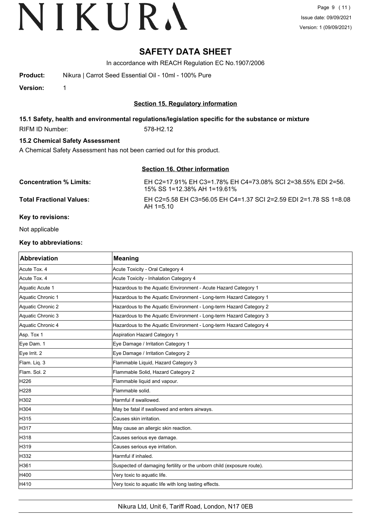## **SAFETY DATA SHEET**

In accordance with REACH Regulation EC No.1907/2006

**Product:** Nikura | Carrot Seed Essential Oil - 10ml - 100% Pure

**Version:** 1

#### **Section 15. Regulatory information**

#### **15.1 Safety, health and environmental regulations/legislation specific for the substance or mixture**

RIFM ID Number: 578-H2.12

### **15.2 Chemical Safety Assessment**

A Chemical Safety Assessment has not been carried out for this product.

#### **Section 16. Other information**

| <b>Concentration % Limits:</b>  | EH C2=17.91% EH C3=1.78% EH C4=73.08% SCI 2=38.55% EDI 2=56.<br>15% SS 1=12.38% AH 1=19.61% |
|---------------------------------|---------------------------------------------------------------------------------------------|
| <b>Total Fractional Values:</b> | EH C2=5.58 EH C3=56.05 EH C4=1.37 SCI 2=2.59 EDI 2=1.78 SS 1=8.08<br>$AH 1=510$             |
| Key to revisions:               |                                                                                             |

Not applicable

#### **Key to abbreviations:**

| <b>Abbreviation</b> | <b>Meaning</b>                                                        |
|---------------------|-----------------------------------------------------------------------|
| Acute Tox. 4        | Acute Toxicity - Oral Category 4                                      |
| Acute Tox. 4        | Acute Toxicity - Inhalation Category 4                                |
| Aquatic Acute 1     | Hazardous to the Aquatic Environment - Acute Hazard Category 1        |
| Aquatic Chronic 1   | Hazardous to the Aquatic Environment - Long-term Hazard Category 1    |
| Aquatic Chronic 2   | Hazardous to the Aquatic Environment - Long-term Hazard Category 2    |
| Aquatic Chronic 3   | Hazardous to the Aquatic Environment - Long-term Hazard Category 3    |
| Aquatic Chronic 4   | Hazardous to the Aquatic Environment - Long-term Hazard Category 4    |
| Asp. Tox 1          | Aspiration Hazard Category 1                                          |
| Eye Dam. 1          | Eye Damage / Irritation Category 1                                    |
| Eye Irrit. 2        | Eye Damage / Irritation Category 2                                    |
| Flam. Liq. 3        | Flammable Liquid, Hazard Category 3                                   |
| Flam, Sol. 2        | Flammable Solid, Hazard Category 2                                    |
| H226                | Flammable liquid and vapour.                                          |
| H228                | Flammable solid.                                                      |
| H302                | Harmful if swallowed.                                                 |
| H304                | May be fatal if swallowed and enters airways.                         |
| H315                | Causes skin irritation.                                               |
| H317                | May cause an allergic skin reaction.                                  |
| H318                | Causes serious eye damage.                                            |
| H319                | Causes serious eye irritation.                                        |
| H332                | Harmful if inhaled.                                                   |
| H361                | Suspected of damaging fertility or the unborn child (exposure route). |
| H400                | Very toxic to aquatic life.                                           |
| H410                | Very toxic to aquatic life with long lasting effects.                 |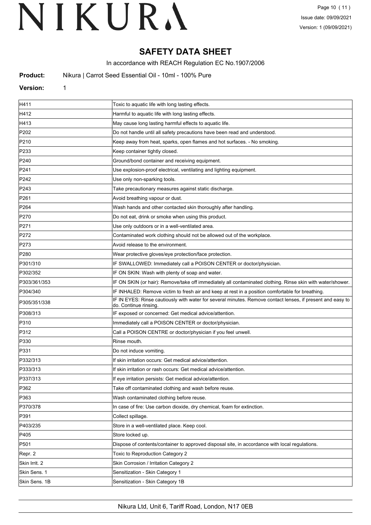## **SAFETY DATA SHEET**

In accordance with REACH Regulation EC No.1907/2006

**Product:** Nikura | Carrot Seed Essential Oil - 10ml - 100% Pure

#### **Version:** 1

| H411             | Toxic to aquatic life with long lasting effects.                                                                                   |
|------------------|------------------------------------------------------------------------------------------------------------------------------------|
| H412             | Harmful to aquatic life with long lasting effects.                                                                                 |
| H413             | May cause long lasting harmful effects to aquatic life.                                                                            |
| P202             | Do not handle until all safety precautions have been read and understood.                                                          |
| P210             | Keep away from heat, sparks, open flames and hot surfaces. - No smoking.                                                           |
| P233             | Keep container tightly closed.                                                                                                     |
| P240             | Ground/bond container and receiving equipment.                                                                                     |
| P241             | Use explosion-proof electrical, ventilating and lighting equipment.                                                                |
| P242             | Use only non-sparking tools.                                                                                                       |
| P243             | Take precautionary measures against static discharge.                                                                              |
| P261             | Avoid breathing vapour or dust.                                                                                                    |
| P264             | Wash hands and other contacted skin thoroughly after handling.                                                                     |
| P270             | Do not eat, drink or smoke when using this product.                                                                                |
| P <sub>271</sub> | Use only outdoors or in a well-ventilated area.                                                                                    |
| P272             | Contaminated work clothing should not be allowed out of the workplace.                                                             |
| P273             | Avoid release to the environment.                                                                                                  |
| P280             | Wear protective gloves/eye protection/face protection.                                                                             |
| P301/310         | IF SWALLOWED: Immediately call a POISON CENTER or doctor/physician.                                                                |
| P302/352         | IF ON SKIN: Wash with plenty of soap and water.                                                                                    |
| P303/361/353     | IF ON SKIN (or hair): Remove/take off immediately all contaminated clothing. Rinse skin with water/shower.                         |
| P304/340         | IF INHALED: Remove victim to fresh air and keep at rest in a position comfortable for breathing.                                   |
| P305/351/338     | IF IN EYES: Rinse cautiously with water for several minutes. Remove contact lenses, if present and easy to<br>do. Continue rinsing |
| P308/313         | IF exposed or concerned: Get medical advice/attention.                                                                             |
| P310             | Immediately call a POISON CENTER or doctor/physician.                                                                              |
| P312             | Call a POISON CENTRE or doctor/physician if you feel unwell.                                                                       |
| P330             | Rinse mouth.                                                                                                                       |
| P331             | Do not induce vomiting.                                                                                                            |
| P332/313         | If skin irritation occurs: Get medical advice/attention.                                                                           |
| P333/313         | If skin irritation or rash occurs: Get medical advice/attention.                                                                   |
| P337/313         | If eye irritation persists: Get medical advice/attention.                                                                          |
| P362             | Take off contaminated clothing and wash before reuse.                                                                              |
| P363             | Wash contaminated clothing before reuse.                                                                                           |
| P370/378         | In case of fire: Use carbon dioxide, dry chemical, foam for extinction.                                                            |
| P391             | Collect spillage.                                                                                                                  |
| P403/235         | Store in a well-ventilated place. Keep cool.                                                                                       |
| P405             | Store locked up.                                                                                                                   |
| P501             | Dispose of contents/container to approved disposal site, in accordance with local regulations.                                     |
| Repr. 2          | Toxic to Reproduction Category 2                                                                                                   |
| Skin Irrit. 2    | Skin Corrosion / Irritation Category 2                                                                                             |
| Skin Sens. 1     | Sensitization - Skin Category 1                                                                                                    |
| Skin Sens. 1B    | Sensitization - Skin Category 1B                                                                                                   |